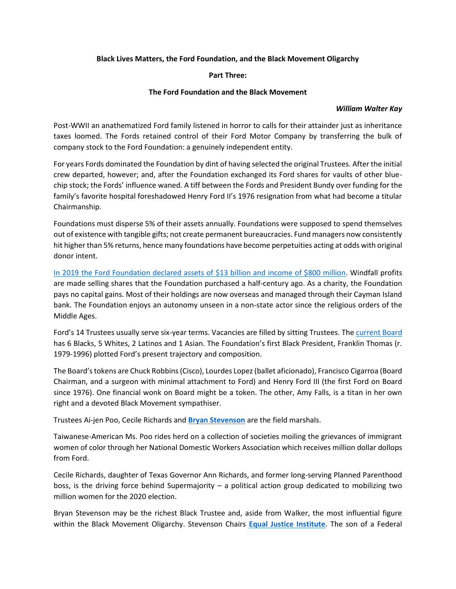## **Black Lives Matters, the Ford Foundation, and the Black Movement Oligarchy**

## **Part Three:**

## **The Ford Foundation and the Black Movement**

## *William Walter Kay*

Post-WWII an anathematized Ford family listened in horror to calls for their attainder just as inheritance taxes loomed. The Fords retained control of their Ford Motor Company by transferring the bulk of company stock to the Ford Foundation: a genuinely independent entity.

For years Fords dominated the Foundation by dint of having selected the original Trustees. After the initial crew departed, however; and, after the Foundation exchanged its Ford shares for vaults of other bluechip stock; the Fords' influence waned. A tiff between the Fords and President Bundy over funding for the family's favorite hospital foreshadowed Henry Ford II's 1976 resignation from what had become a titular Chairmanship.

Foundations must disperse 5% of their assets annually. Foundations were supposed to spend themselves out of existence with tangible gifts; not create permanent bureaucracies. Fund managers now consistently hit higher than 5% returns, hence many foundations have become perpetuities acting at odds with original donor intent.

[In 2019 the Ford Foundation declared assets of \\$13 billion and income of \\$800 million.](https://www.fordfoundation.org/about/library/financial-statements/2018-annual-tax-return-form-990-pf/) Windfall profits are made selling shares that the Foundation purchased a half-century ago. As a charity, the Foundation pays no capital gains. Most of their holdings are now overseas and managed through their Cayman Island bank. The Foundation enjoys an autonomy unseen in a non-state actor since the religious orders of the Middle Ages.

Ford's 14 Trustees usually serve six-year terms. Vacancies are filled by sitting Trustees. The [current Board](https://www.fordfoundation.org/about/people/board-of-trustees/) has 6 Blacks, 5 Whites, 2 Latinos and 1 Asian. The Foundation's first Black President, Franklin Thomas (r. 1979-1996) plotted Ford's present trajectory and composition.

The Board's tokens are Chuck Robbins (Cisco), Lourdes Lopez(ballet aficionado), Francisco Cigarroa (Board Chairman, and a surgeon with minimal attachment to Ford) and Henry Ford III (the first Ford on Board since 1976). One financial wonk on Board might be a token. The other, Amy Falls, is a titan in her own right and a devoted Black Movement sympathiser.

Trustees Ai-jen Poo, Cecile Richards and **[Bryan Stevenson](https://eji.org/bryan-stevenson/)** are the field marshals.

Taiwanese-American Ms. Poo rides herd on a collection of societies moiling the grievances of immigrant women of color through her National Domestic Workers Association which receives million dollar dollops from Ford.

Cecile Richards, daughter of Texas Governor Ann Richards, and former long-serving Planned Parenthood boss, is the driving force behind Supermajority – a political action group dedicated to mobilizing two million women for the 2020 election.

Bryan Stevenson may be the richest Black Trustee and, aside from Walker, the most influential figure within the Black Movement Oligarchy. Stevenson Chairs **[Equal Justice Institute](https://eji.org/)**. The son of a Federal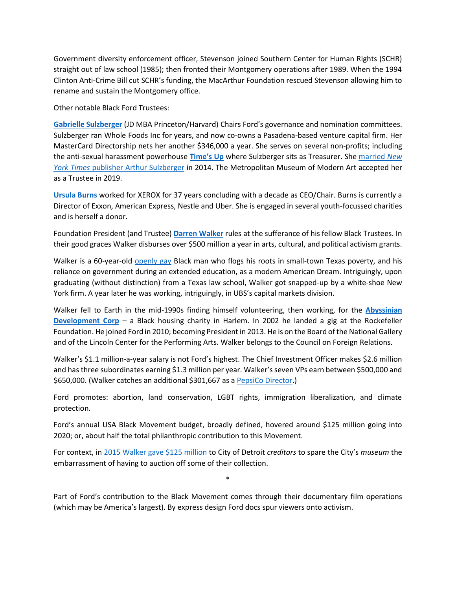Government diversity enforcement officer, Stevenson joined Southern Center for Human Rights (SCHR) straight out of law school (1985); then fronted their Montgomery operations after 1989. When the 1994 Clinton Anti-Crime Bill cut SCHR's funding, the MacArthur Foundation rescued Stevenson allowing him to rename and sustain the Montgomery office.

Other notable Black Ford Trustees:

**[Gabrielle Sulzberger](https://sheroars.princeton.edu/speaker/gabrielle-sulzberger-81/)** (JD MBA Princeton/Harvard) Chairs Ford's governance and nomination committees. Sulzberger ran Whole Foods Inc for years, and now co-owns a Pasadena-based venture capital firm. Her MasterCard Directorship nets her another \$346,000 a year. She serves on several non-profits; including the anti-sexual harassment powerhouse **[Time's Up](https://timesupnow.org/)** where Sulzberger sits as Treasurer**.** Sh[e married](https://jewishbusinessnews.com/2014/08/31/gabrielle-greene-and-nyts-arthur-sulzberger-jr-got-married/) *New York Times* [publisher Arthur Sulzberger](https://jewishbusinessnews.com/2014/08/31/gabrielle-greene-and-nyts-arthur-sulzberger-jr-got-married/) in 2014. The Metropolitan Museum of Modern Art accepted her as a Trustee in 2019.

**[Ursula Burns](https://www.britannica.com/biography/Ursula-Burns)** worked for XEROX for 37 years concluding with a decade as CEO/Chair. Burns is currently a Director of Exxon, American Express, Nestle and Uber. She is engaged in several youth-focussed charities and is herself a donor.

Foundation President (and Trustee) **[Darren Walker](https://www.fordfoundation.org/about/people/darren-walker/)** rules at the sufferance of his fellow Black Trustees. In their good graces Walker disburses over \$500 million a year in arts, cultural, and political activism grants.

Walker is a 60-year-old [openly gay](https://people.com/movies/darren-walker-coming-out-stories-love-simon-2/) Black man who flogs his roots in small-town Texas poverty, and his reliance on government during an extended education, as a modern American Dream. Intriguingly, upon graduating (without distinction) from a Texas law school, Walker got snapped-up by a white-shoe New York firm. A year later he was working, intriguingly, in UBS's capital markets division.

Walker fell to Earth in the mid-1990s finding himself volunteering, then working, for the **[Abyssinian](https://www.adcorp.org/)  [Development Corp](https://www.adcorp.org/)** – a Black housing charity in Harlem. In 2002 he landed a gig at the Rockefeller Foundation. He joined Ford in 2010; becoming President in 2013. He is on the Board of the National Gallery and of the Lincoln Center for the Performing Arts. Walker belongs to the Council on Foreign Relations.

Walker's \$1.1 million-a-year salary is not Ford's highest. The Chief Investment Officer makes \$2.6 million and has three subordinates earning \$1.3 million per year. Walker's seven VPs earn between \$500,000 and \$650,000. (Walker catches an additional \$301,667 as a [PepsiCo Director.](https://www.pepsico.com/about/leadership))

Ford promotes: abortion, land conservation, LGBT rights, immigration liberalization, and climate protection.

Ford's annual USA Black Movement budget, broadly defined, hovered around \$125 million going into 2020; or, about half the total philanthropic contribution to this Movement.

For context, in [2015 Walker gave \\$125 million](https://www.fordfoundation.org/the-latest/in-the-headlines/reaffirming-our-roots-in-detroit/) to City of Detroit *creditors* to spare the City's *museum* the embarrassment of having to auction off some of their collection.

Part of Ford's contribution to the Black Movement comes through their documentary film operations (which may be America's largest). By express design Ford docs spur viewers onto activism.

\*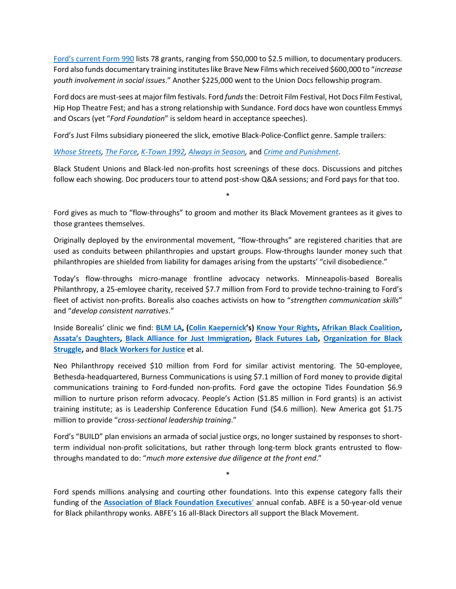[Ford's current Form 990](https://www.fordfoundation.org/about/library/financial-statements/2018-annual-tax-return-form-990-pf/) lists 78 grants, ranging from \$50,000 to \$2.5 million, to documentary producers. Ford also funds documentary training institutes like Brave New Films which received \$600,000 to "*increase youth involvement in social issues*." Another \$225,000 went to the Union Docs fellowship program.

Ford docs are must-sees at major film festivals. Ford *funds*the: Detroit Film Festival, Hot Docs Film Festival, Hip Hop Theatre Fest; and has a strong relationship with Sundance. Ford docs have won countless Emmys and Oscars (yet "*Ford Foundation*" is seldom heard in acceptance speeches).

Ford's Just Films subsidiary pioneered the slick, emotive Black-Police-Conflict genre. Sample trailers:

*[Whose Streets,](https://www.youtube.com/watch?v=upiJnjJSerw) [The Force,](https://www.youtube.com/watch?v=xrS5Okom6ow) [K-Town 1992,](http://ktown92.com/watch) [Always in Season,](https://www.youtube.com/watch?v=4ZfBr6MPIKE)* and *[Crime and Punishment.](https://www.youtube.com/watch?v=n4WfaaJi_fQ)*

Black Student Unions and Black-led non-profits host screenings of these docs. Discussions and pitches follow each showing. Doc producers tour to attend post-show Q&A sessions; and Ford pays for that too.

Ford gives as much to "flow-throughs" to groom and mother its Black Movement grantees as it gives to those grantees themselves.

\*

Originally deployed by the environmental movement, "flow-throughs" are registered charities that are used as conduits between philanthropies and upstart groups. Flow-throughs launder money such that philanthropies are shielded from liability for damages arising from the upstarts' "civil disobedience."

Today's flow-throughs micro-manage frontline advocacy networks. Minneapolis-based Borealis Philanthropy, a 25-emloyee charity, received \$7.7 million from Ford to provide techno-training to Ford's fleet of activist non-profits. Borealis also coaches activists on how to "*strengthen communication skills*" and "*develop consistent narratives*."

Inside Borealis' clinic we find: **[BLM LA,](https://www.blmla.org/) [\(Colin Kaepernick](https://twitter.com/kaepernick7?lang=en)'s) [Know Your Rights,](https://www.knowyourrightscamp.com/) [Afrikan Black Coalition,](https://www.afrikanblackcoalition.org/) [Assata's Daughters](https://www.assatasdaughters.org/), [Black Alliance for Just Immigration,](https://baji.org/) [Black Futures Lab,](https://blackfutureslab.org/) [Organization for Black](https://www.obs-stl.org/)  [Struggle,](https://www.obs-stl.org/)** and **[Black Workers for Justice](https://blackworkersforjustice.com/)** et al.

Neo Philanthropy received \$10 million from Ford for similar activist mentoring. The 50-employee, Bethesda-headquartered, Burness Communications is using \$7.1 million of Ford money to provide digital communications training to Ford-funded non-profits. Ford gave the octopine Tides Foundation \$6.9 million to nurture prison reform advocacy. People's Action (\$1.85 million in Ford grants) is an activist training institute; as is Leadership Conference Education Fund (\$4.6 million). New America got \$1.75 million to provide "*cross-sectional leadership training*."

Ford's "BUILD" plan envisions an armada of social justice orgs, no longer sustained by responses to shortterm individual non-profit solicitations, but rather through long-term block grants entrusted to flowthroughs mandated to do: "*much more extensive due diligence at the front end*."

Ford spends millions analysing and courting other foundations. Into this expense category falls their funding of the **[Association of Black Foundation Executives](https://www.abfe.org/)**' annual confab. ABFE is a 50-year-old venue for Black philanthropy wonks. ABFE's 16 all-Black Directors all support the Black Movement.

\*